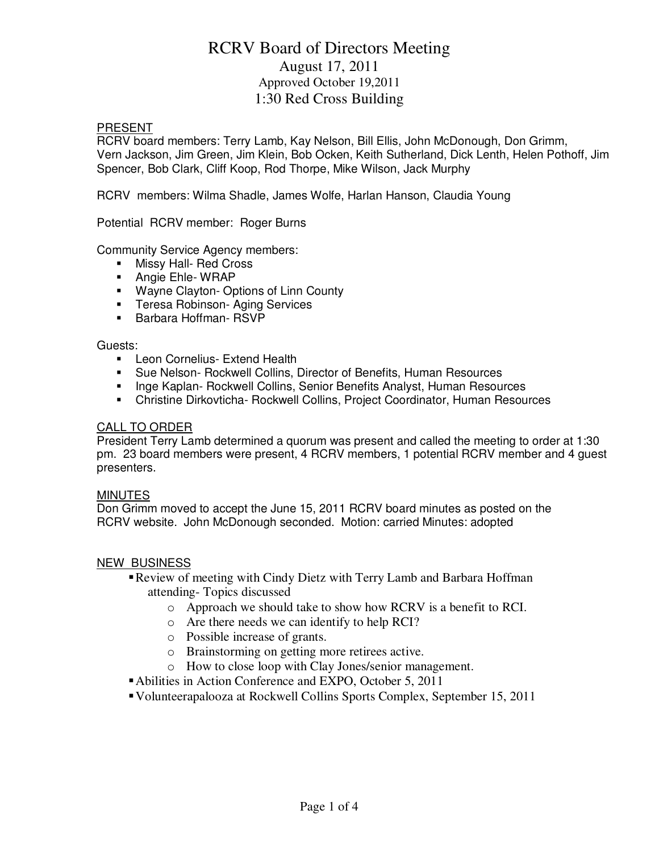# RCRV Board of Directors Meeting August 17, 2011 Approved October 19,2011 1:30 Red Cross Building

#### PRESENT

RCRV board members: Terry Lamb, Kay Nelson, Bill Ellis, John McDonough, Don Grimm, Vern Jackson, Jim Green, Jim Klein, Bob Ocken, Keith Sutherland, Dick Lenth, Helen Pothoff, Jim Spencer, Bob Clark, Cliff Koop, Rod Thorpe, Mike Wilson, Jack Murphy

RCRV members: Wilma Shadle, James Wolfe, Harlan Hanson, Claudia Young

Potential RCRV member: Roger Burns

Community Service Agency members:

- **Nissy Hall- Red Cross**
- **Angie Ehle- WRAP**
- **Wayne Clayton- Options of Linn County**
- **Teresa Robinson- Aging Services**
- **Barbara Hoffman- RSVP**

#### Guests:

- **EXTERN CORNEL EXTEND Health**
- Sue Nelson- Rockwell Collins, Director of Benefits, Human Resources
- **Inge Kaplan- Rockwell Collins, Senior Benefits Analyst, Human Resources**
- Christine Dirkovticha- Rockwell Collins, Project Coordinator, Human Resources

#### CALL TO ORDER

President Terry Lamb determined a quorum was present and called the meeting to order at 1:30 pm. 23 board members were present, 4 RCRV members, 1 potential RCRV member and 4 guest presenters.

#### **MINUTES**

Don Grimm moved to accept the June 15, 2011 RCRV board minutes as posted on the RCRV website. John McDonough seconded. Motion: carried Minutes: adopted

#### NEW BUSINESS

- Review of meeting with Cindy Dietz with Terry Lamb and Barbara Hoffman attending- Topics discussed
	- o Approach we should take to show how RCRV is a benefit to RCI.
	- o Are there needs we can identify to help RCI?
	- o Possible increase of grants.
	- o Brainstorming on getting more retirees active.
	- o How to close loop with Clay Jones/senior management.
- Abilities in Action Conference and EXPO, October 5, 2011
- Volunteerapalooza at Rockwell Collins Sports Complex, September 15, 2011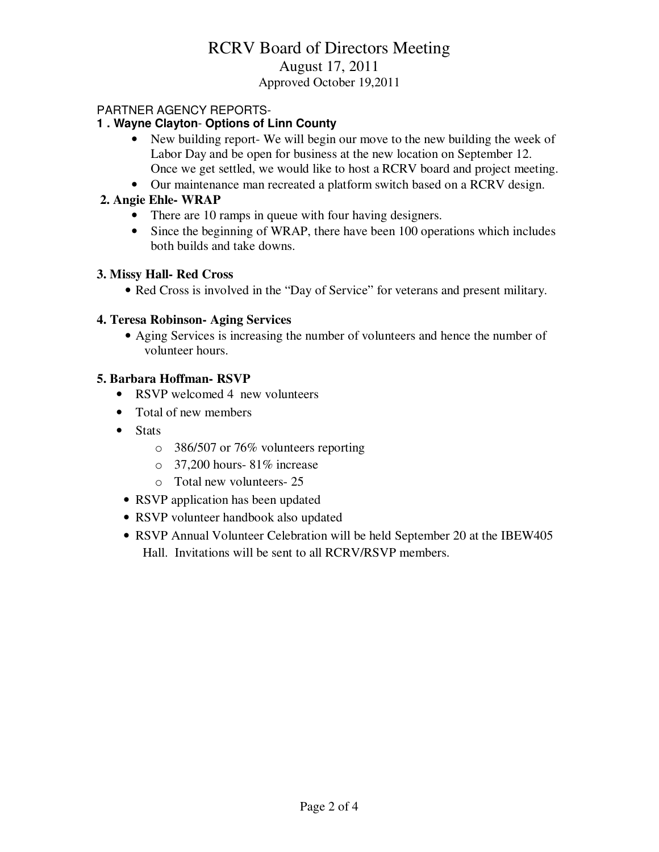# RCRV Board of Directors Meeting August 17, 2011 Approved October 19,2011

# PARTNER AGENCY REPORTS-

# **1 . Wayne Clayton**- **Options of Linn County**

- New building report- We will begin our move to the new building the week of Labor Day and be open for business at the new location on September 12. Once we get settled, we would like to host a RCRV board and project meeting.
- Our maintenance man recreated a platform switch based on a RCRV design.

# **2. Angie Ehle- WRAP**

- There are 10 ramps in queue with four having designers.
- Since the beginning of WRAP, there have been 100 operations which includes both builds and take downs.

### **3. Missy Hall- Red Cross**

• Red Cross is involved in the "Day of Service" for veterans and present military.

### **4. Teresa Robinson- Aging Services**

• Aging Services is increasing the number of volunteers and hence the number of volunteer hours.

### **5. Barbara Hoffman- RSVP**

- RSVP welcomed 4 new volunteers
- Total of new members
- Stats
	- o 386/507 or 76% volunteers reporting
	- o 37,200 hours- 81% increase
	- o Total new volunteers- 25
	- RSVP application has been updated
	- RSVP volunteer handbook also updated
	- RSVP Annual Volunteer Celebration will be held September 20 at the IBEW405 Hall. Invitations will be sent to all RCRV/RSVP members.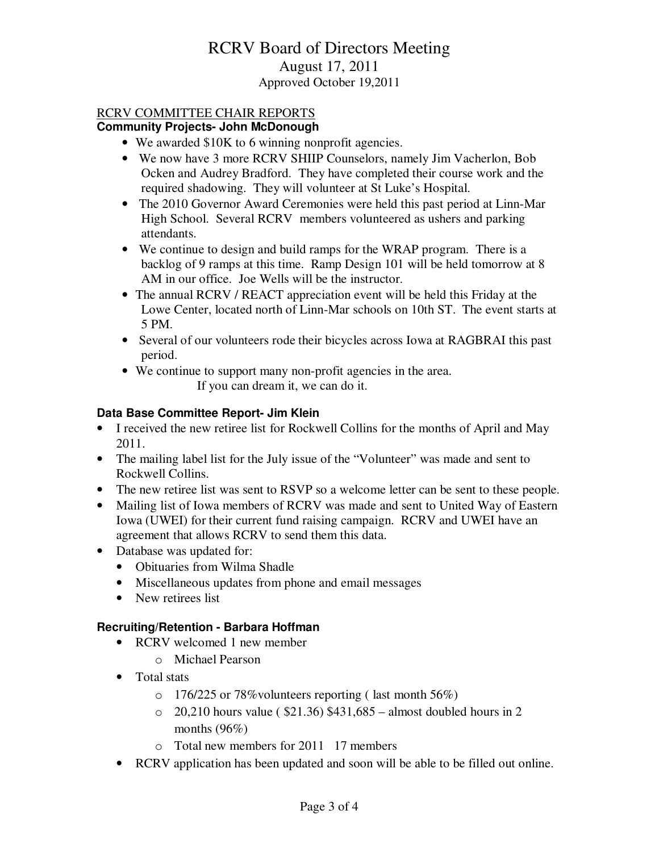# RCRV Board of Directors Meeting August 17, 2011 Approved October 19,2011

# RCRV COMMITTEE CHAIR REPORTS

### **Community Projects- John McDonough**

- We awarded \$10K to 6 winning nonprofit agencies.
- We now have 3 more RCRV SHIIP Counselors, namely Jim Vacherlon, Bob Ocken and Audrey Bradford. They have completed their course work and the required shadowing. They will volunteer at St Luke's Hospital.
- The 2010 Governor Award Ceremonies were held this past period at Linn-Mar High School. Several RCRV members volunteered as ushers and parking attendants.
- We continue to design and build ramps for the WRAP program. There is a backlog of 9 ramps at this time. Ramp Design 101 will be held tomorrow at 8 AM in our office. Joe Wells will be the instructor.
- The annual RCRV / REACT appreciation event will be held this Friday at the Lowe Center, located north of Linn-Mar schools on 10th ST. The event starts at 5 PM.
- Several of our volunteers rode their bicycles across Iowa at RAGBRAI this past period.
- We continue to support many non-profit agencies in the area. If you can dream it, we can do it.

### **Data Base Committee Report- Jim Klein**

- I received the new retiree list for Rockwell Collins for the months of April and May 2011.
- The mailing label list for the July issue of the "Volunteer" was made and sent to Rockwell Collins.
- The new retiree list was sent to RSVP so a welcome letter can be sent to these people.
- Mailing list of Iowa members of RCRV was made and sent to United Way of Eastern Iowa (UWEI) for their current fund raising campaign. RCRV and UWEI have an agreement that allows RCRV to send them this data.
- Database was updated for:
	- Obituaries from Wilma Shadle
	- Miscellaneous updates from phone and email messages
	- New retirees list

# **Recruiting/Retention - Barbara Hoffman**

- RCRV welcomed 1 new member
	- o Michael Pearson
- Total stats
	- o 176/225 or 78%volunteers reporting ( last month 56%)
	- $\degree$  20,210 hours value ( \$21.36) \$431,685 almost doubled hours in 2 months  $(96\%)$
	- o Total new members for 2011 17 members
- RCRV application has been updated and soon will be able to be filled out online.